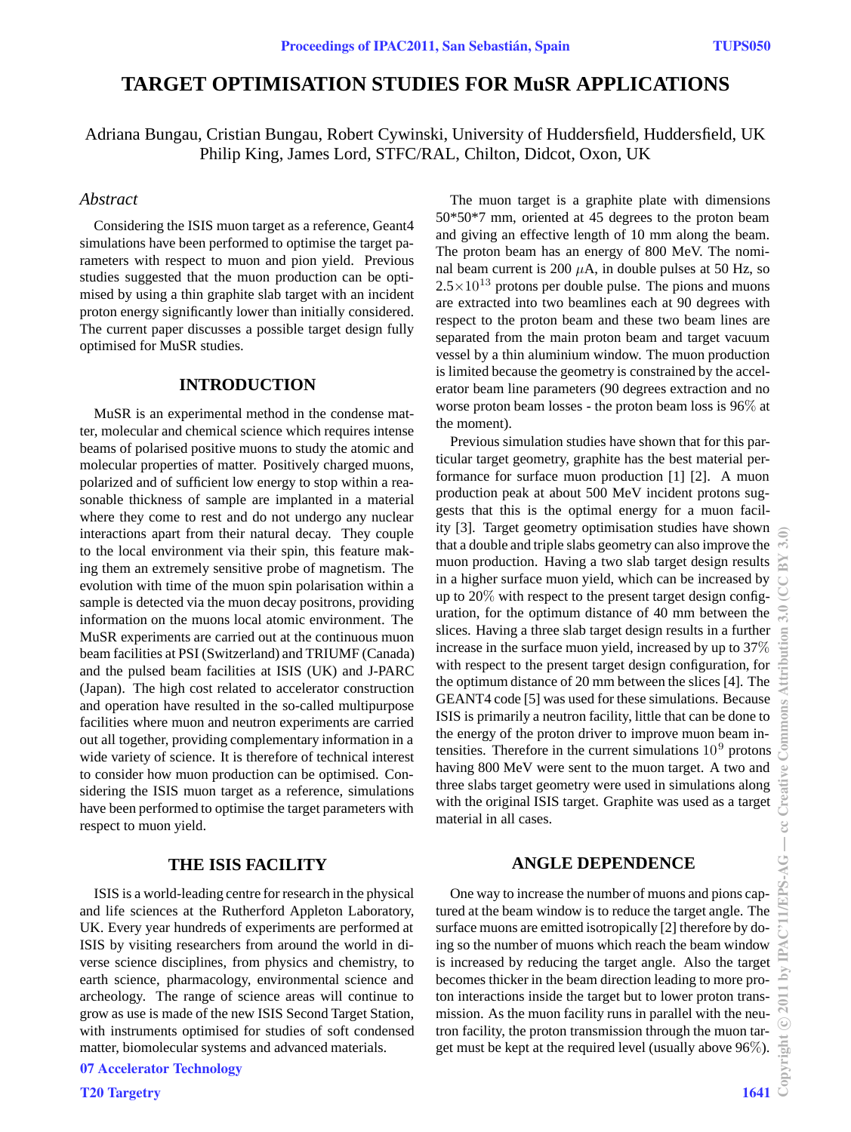# **TARGET OPTIMISATION STUDIES FOR MuSR APPLICATIONS**

Adriana Bungau, Cristian Bungau, Robert Cywinski, University of Huddersfield, Huddersfield, UK Philip King, James Lord, STFC/RAL, Chilton, Didcot, Oxon, UK

#### *Abstract*

Considering the ISIS muon target as a reference, Geant4 simulations have been performed to optimise the target parameters with respect to muon and pion yield. Previous studies suggested that the muon production can be optimised by using a thin graphite slab target with an incident proton energy significantly lower than initially considered. The current paper discusses a possible target design fully optimised for MuSR studies.

## **INTRODUCTION**

MuSR is an experimental method in the condense matter, molecular and chemical science which requires intense beams of polarised positive muons to study the atomic and molecular properties of matter. Positively charged muons, polarized and of sufficient low energy to stop within a reasonable thickness of sample are implanted in a material where they come to rest and do not undergo any nuclear interactions apart from their natural decay. They couple to the local environment via their spin, this feature making them an extremely sensitive probe of magnetism. The evolution with time of the muon spin polarisation within a sample is detected via the muon decay positrons, providing information on the muons local atomic environment. The MuSR experiments are carried out at the continuous muon beam facilities at PSI (Switzerland) and TRIUMF (Canada) and the pulsed beam facilities at ISIS (UK) and J-PARC (Japan). The high cost related to accelerator construction and operation have resulted in the so-called multipurpose facilities where muon and neutron experiments are carried out all together, providing complementary information in a wide variety of science. It is therefore of technical interest to consider how muon production can be optimised. Considering the ISIS muon target as a reference, simulations have been performed to optimise the target parameters with respect to muon yield.

# **THE ISIS FACILITY**

ISIS is a world-leading centre for research in the physical and life sciences at the Rutherford Appleton Laboratory, UK. Every year hundreds of experiments are performed at ISIS by visiting researchers from around the world in diverse science disciplines, from physics and chemistry, to earth science, pharmacology, environmental science and archeology. The range of science areas will continue to grow as use is made of the new ISIS Second Target Station, with instruments optimised for studies of soft condensed matter, biomolecular systems and advanced materials.

07 Accelerator Technology

**T20 Targetry** 

The muon target is a graphite plate with dimensions 50\*50\*7 mm, oriented at 45 degrees to the proton beam and giving an effective length of 10 mm along the beam. The proton beam has an energy of 800 MeV. The nominal beam current is 200  $\mu$ A, in double pulses at 50 Hz, so  $2.5 \times 10^{13}$  protons per double pulse. The pions and muons are extracted into two beamlines each at 90 degrees with respect to the proton beam and these two beam lines are separated from the main proton beam and target vacuum vessel by a thin aluminium window. The muon production is limited because the geometry is constrained by the accelerator beam line parameters (90 degrees extraction and no worse proton beam losses - the proton beam loss is 96% at the moment).

Previous simulation studies have shown that for this particular target geometry, graphite has the best material performance for surface muon production [1] [2]. A muon production peak at about 500 MeV incident protons suggests that this is the optimal energy for a muon facility [3]. Target geometry optimisation studies have shown that a double and triple slabs geometry can also improve the muon production. Having a two slab target design results in a higher surface muon yield, which can be increased by up to 20% with respect to the present target design configuration, for the optimum distance of 40 mm between the slices. Having a three slab target design results in a further increase in the surface muon yield, increased by up to 37% with respect to the present target design configuration, for the optimum distance of 20 mm between the slices [4]. The GEANT4 code [5] was used for these simulations. Because ISIS is primarily a neutron facility, little that can be done to the energy of the proton driver to improve muon beam intensities. Therefore in the current simulations  $10<sup>9</sup>$  protons having 800 MeV were sent to the muon target. A two and three slabs target geometry were used in simulations along with the original ISIS target. Graphite was used as a target material in all cases.

# **ANGLE DEPENDENCE**

One way to increase the number of muons and pions captured at the beam window is to reduce the target angle. The surface muons are emitted isotropically [2] therefore by doing so the number of muons which reach the beam window is increased by reducing the target angle. Also the target becomes thicker in the beam direction leading to more proton interactions inside the target but to lower proton transmission. As the muon facility runs in parallel with the neutron facility, the proton transmission through the muon target must be kept at the required level (usually above 96%).<br>  $\frac{6}{15}$ <br>  $\frac{1641}{6}$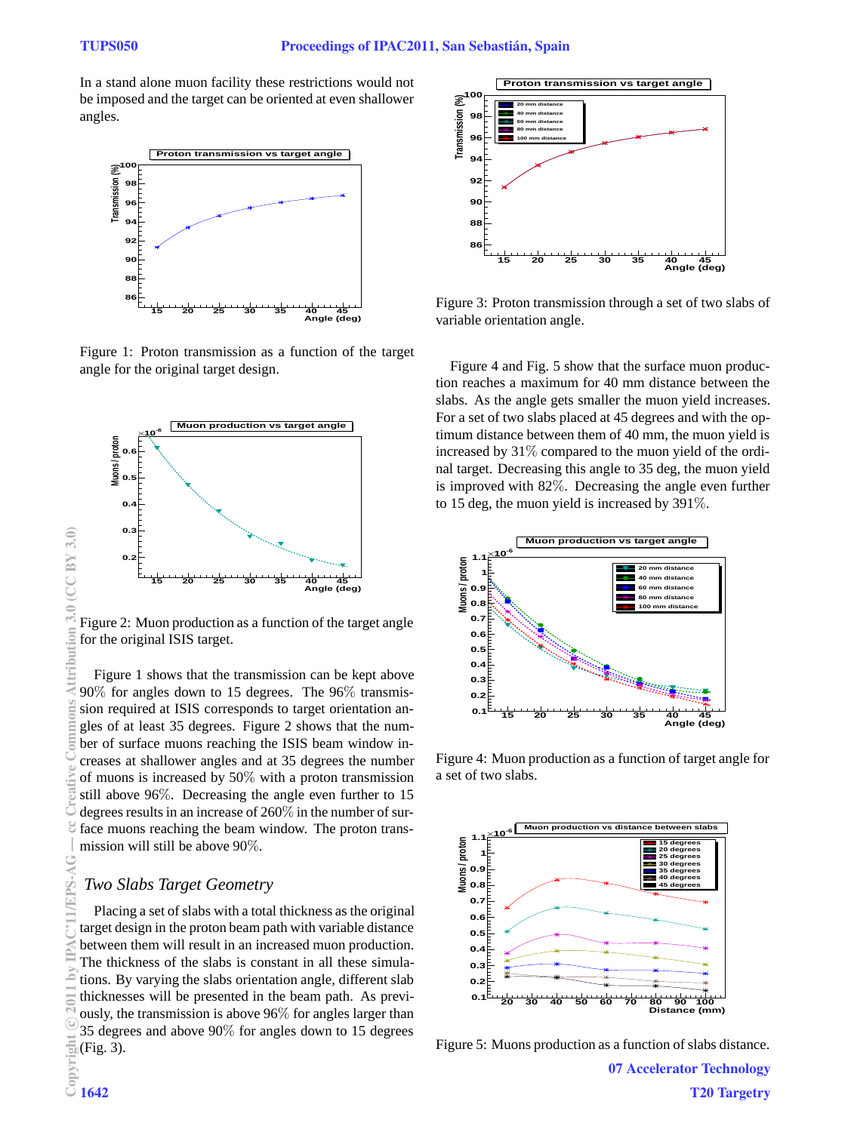In a stand alone muon facility these restrictions would not be imposed and the target can be oriented at even shallower angles.



Figure 1: Proton transmission as a function of the target angle for the original target design.



Figure 2: Muon production as a function of the target angle for the original ISIS target.

Figure 1 shows that the transmission can be kept above 90% for angles down to 15 degrees. The 96% transmission required at ISIS corresponds to target orientation angles of at least 35 degrees. Figure 2 shows that the number of surface muons reaching the ISIS beam window increases at shallower angles and at 35 degrees the number of muons is increased by 50% with a proton transmission still above 96%. Decreasing the angle even further to 15 degrees results in an increase of 260% in the number of surface muons reaching the beam window. The proton transmission will still be above 90%.

## *Two Slabs Target Geometry*

Placing a set of slabs with a total thickness as the original target design in the proton beam path with variable distance between them will result in an increased muon production. The thickness of the slabs is constant in all these simulations. By varying the slabs orientation angle, different slab thicknesses will be presented in the beam path. As previously, the transmission is above 96% for angles larger than 35 degrees and above 90% for angles down to 15 degrees  $\frac{1}{20}$ (Fig. 3).<br>Exposite<br>Copyright 1642



Figure 3: Proton transmission through a set of two slabs of variable orientation angle.

Figure 4 and Fig. 5 show that the surface muon production reaches a maximum for 40 mm distance between the slabs. As the angle gets smaller the muon yield increases. For a set of two slabs placed at 45 degrees and with the optimum distance between them of 40 mm, the muon yield is increased by 31% compared to the muon yield of the ordinal target. Decreasing this angle to 35 deg, the muon yield is improved with 82%. Decreasing the angle even further to 15 deg, the muon yield is increased by 391%.



Figure 4: Muon production as a function of target angle for a set of two slabs.



Figure 5: Muons production as a function of slabs distance.